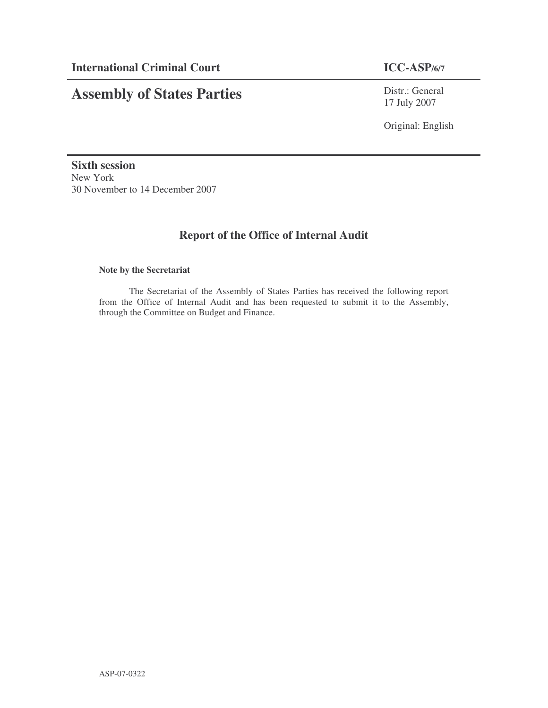# **Assembly of States Parties**

Distr.: General 17 July 2007

Original: English

**Sixth session** New York 30 November to 14 December 2007

# **Report of the Office of Internal Audit**

#### **Note by the Secretariat**

The Secretariat of the Assembly of States Parties has received the following report from the Office of Internal Audit and has been requested to submit it to the Assembly, through the Committee on Budget and Finance.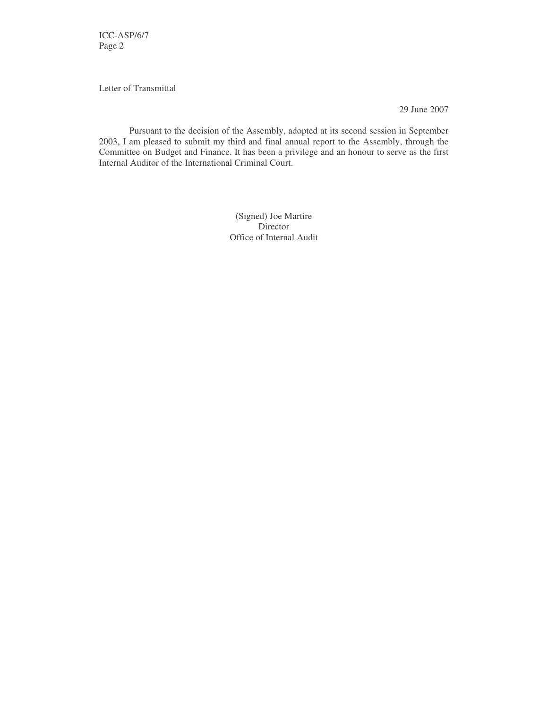ICC-ASP/6/7 Page 2

Letter of Transmittal

29 June 2007

Pursuant to the decision of the Assembly, adopted at its second session in September 2003, I am pleased to submit my third and final annual report to the Assembly, through the Committee on Budget and Finance. It has been a privilege and an honour to serve as the first Internal Auditor of the International Criminal Court.

> (Signed) Joe Martire Director Office of Internal Audit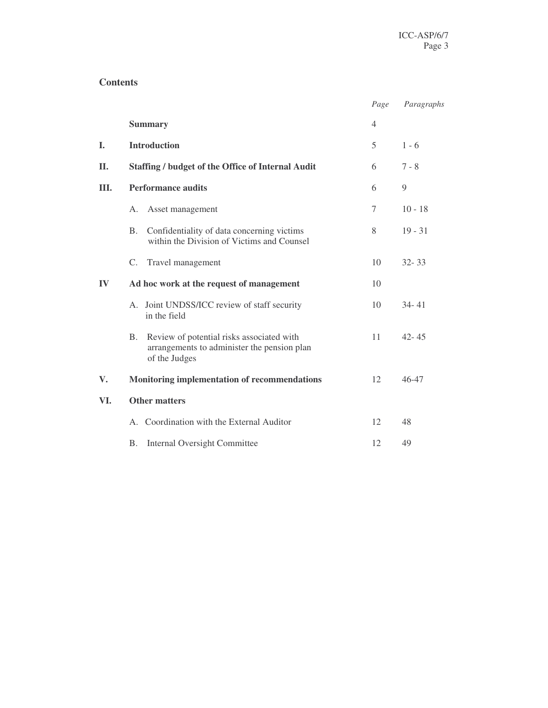#### **Contents**

|            |                                                                                                                        | Page | Paragraphs |
|------------|------------------------------------------------------------------------------------------------------------------------|------|------------|
|            | <b>Summary</b>                                                                                                         | 4    |            |
| L.         | <b>Introduction</b>                                                                                                    | 5    | $1 - 6$    |
| <b>II.</b> | <b>Staffing / budget of the Office of Internal Audit</b>                                                               | 6    | $7 - 8$    |
| Ш.         | <b>Performance audits</b>                                                                                              | 6    | 9          |
|            | Asset management<br>А.                                                                                                 | 7    | $10 - 18$  |
|            | Confidentiality of data concerning victims<br><b>B.</b><br>within the Division of Victims and Counsel                  | 8    | $19 - 31$  |
|            | $C_{\cdot}$<br>Travel management                                                                                       | 10   | $32 - 33$  |
| $\bf{IV}$  | Ad hoc work at the request of management                                                                               | 10   |            |
|            | A. Joint UNDSS/ICC review of staff security<br>in the field                                                            | 10   | $34 - 41$  |
|            | Review of potential risks associated with<br><b>B.</b><br>arrangements to administer the pension plan<br>of the Judges | 11   | $42 - 45$  |
| V.         | Monitoring implementation of recommendations                                                                           | 12   | $46 - 47$  |
| VI.        | <b>Other matters</b>                                                                                                   |      |            |
|            | A. Coordination with the External Auditor                                                                              | 12   | 48         |
|            | <b>Internal Oversight Committee</b><br><b>B.</b>                                                                       | 12   | 49         |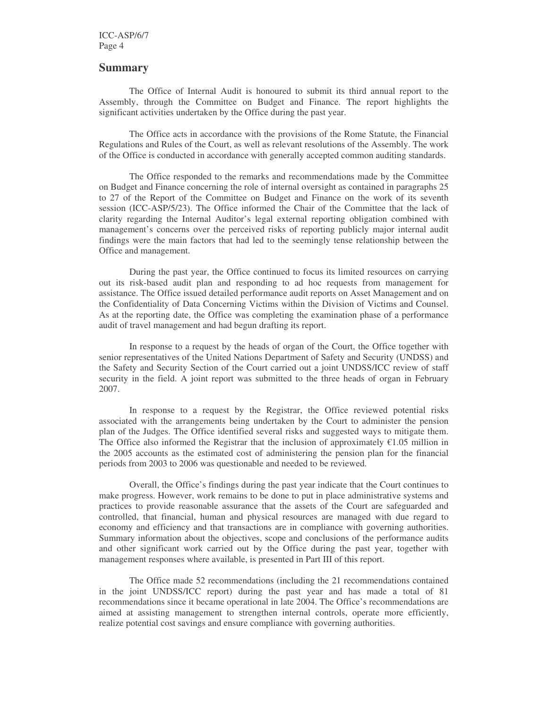#### **Summary**

The Office of Internal Audit is honoured to submit its third annual report to the Assembly, through the Committee on Budget and Finance. The report highlights the significant activities undertaken by the Office during the past year.

The Office acts in accordance with the provisions of the Rome Statute, the Financial Regulations and Rules of the Court, as well as relevant resolutions of the Assembly. The work of the Office is conducted in accordance with generally accepted common auditing standards.

The Office responded to the remarks and recommendations made by the Committee on Budget and Finance concerning the role of internal oversight as contained in paragraphs 25 to 27 of the Report of the Committee on Budget and Finance on the work of its seventh session (ICC-ASP/5/23). The Office informed the Chair of the Committee that the lack of clarity regarding the Internal Auditor's legal external reporting obligation combined with management's concerns over the perceived risks of reporting publicly major internal audit findings were the main factors that had led to the seemingly tense relationship between the Office and management.

During the past year, the Office continued to focus its limited resources on carrying out its risk-based audit plan and responding to ad hoc requests from management for assistance. The Office issued detailed performance audit reports on Asset Management and on the Confidentiality of Data Concerning Victims within the Division of Victims and Counsel. As at the reporting date, the Office was completing the examination phase of a performance audit of travel management and had begun drafting its report.

In response to a request by the heads of organ of the Court, the Office together with senior representatives of the United Nations Department of Safety and Security (UNDSS) and the Safety and Security Section of the Court carried out a joint UNDSS/ICC review of staff security in the field. A joint report was submitted to the three heads of organ in February 2007.

In response to a request by the Registrar, the Office reviewed potential risks associated with the arrangements being undertaken by the Court to administer the pension plan of the Judges. The Office identified several risks and suggested ways to mitigate them. The Office also informed the Registrar that the inclusion of approximately  $\epsilon$ 1.05 million in the 2005 accounts as the estimated cost of administering the pension plan for the financial periods from 2003 to 2006 was questionable and needed to be reviewed.

Overall, the Office's findings during the past year indicate that the Court continues to make progress. However, work remains to be done to put in place administrative systems and practices to provide reasonable assurance that the assets of the Court are safeguarded and controlled, that financial, human and physical resources are managed with due regard to economy and efficiency and that transactions are in compliance with governing authorities. Summary information about the objectives, scope and conclusions of the performance audits and other significant work carried out by the Office during the past year, together with management responses where available, is presented in Part III of this report.

The Office made 52 recommendations (including the 21 recommendations contained in the joint UNDSS/ICC report) during the past year and has made a total of 81 recommendations since it became operational in late 2004. The Office's recommendations are aimed at assisting management to strengthen internal controls, operate more efficiently, realize potential cost savings and ensure compliance with governing authorities.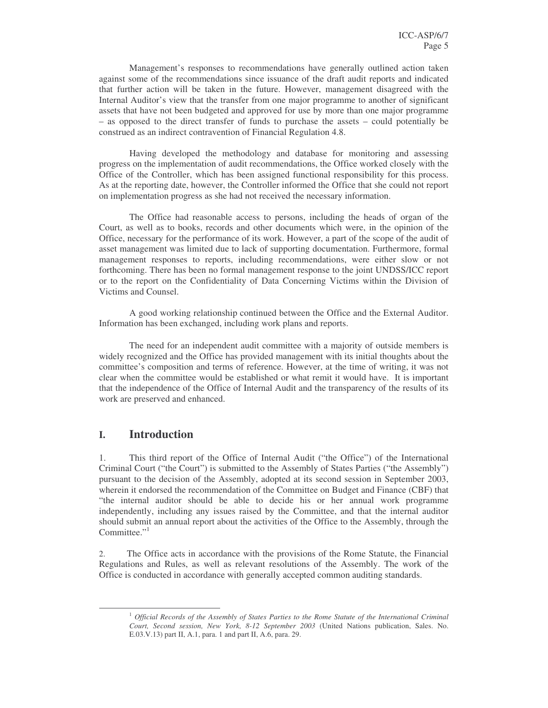Management's responses to recommendations have generally outlined action taken against some of the recommendations since issuance of the draft audit reports and indicated that further action will be taken in the future. However, management disagreed with the Internal Auditor's view that the transfer from one major programme to another of significant assets that have not been budgeted and approved for use by more than one major programme – as opposed to the direct transfer of funds to purchase the assets – could potentially be construed as an indirect contravention of Financial Regulation 4.8.

Having developed the methodology and database for monitoring and assessing progress on the implementation of audit recommendations, the Office worked closely with the Office of the Controller, which has been assigned functional responsibility for this process. As at the reporting date, however, the Controller informed the Office that she could not report on implementation progress as she had not received the necessary information.

The Office had reasonable access to persons, including the heads of organ of the Court, as well as to books, records and other documents which were, in the opinion of the Office, necessary for the performance of its work. However, a part of the scope of the audit of asset management was limited due to lack of supporting documentation. Furthermore, formal management responses to reports, including recommendations, were either slow or not forthcoming. There has been no formal management response to the joint UNDSS/ICC report or to the report on the Confidentiality of Data Concerning Victims within the Division of Victims and Counsel.

A good working relationship continued between the Office and the External Auditor. Information has been exchanged, including work plans and reports.

The need for an independent audit committee with a majority of outside members is widely recognized and the Office has provided management with its initial thoughts about the committee's composition and terms of reference. However, at the time of writing, it was not clear when the committee would be established or what remit it would have. It is important that the independence of the Office of Internal Audit and the transparency of the results of its work are preserved and enhanced.

#### **I. Introduction**

1. This third report of the Office of Internal Audit ("the Office") of the International Criminal Court ("the Court") is submitted to the Assembly of States Parties ("the Assembly") pursuant to the decision of the Assembly, adopted at its second session in September 2003, wherein it endorsed the recommendation of the Committee on Budget and Finance (CBF) that "the internal auditor should be able to decide his or her annual work programme independently, including any issues raised by the Committee, and that the internal auditor should submit an annual report about the activities of the Office to the Assembly, through the Committee."<sup>1</sup>

2. The Office acts in accordance with the provisions of the Rome Statute, the Financial Regulations and Rules, as well as relevant resolutions of the Assembly. The work of the Office is conducted in accordance with generally accepted common auditing standards.

<sup>1</sup> *Official Records of the Assembly of States Parties to the Rome Statute of the International Criminal Court, Second session, New York, 8-12 September 2003* (United Nations publication, Sales. No. E.03.V.13) part II, A.1, para. 1 and part II, A.6, para. 29.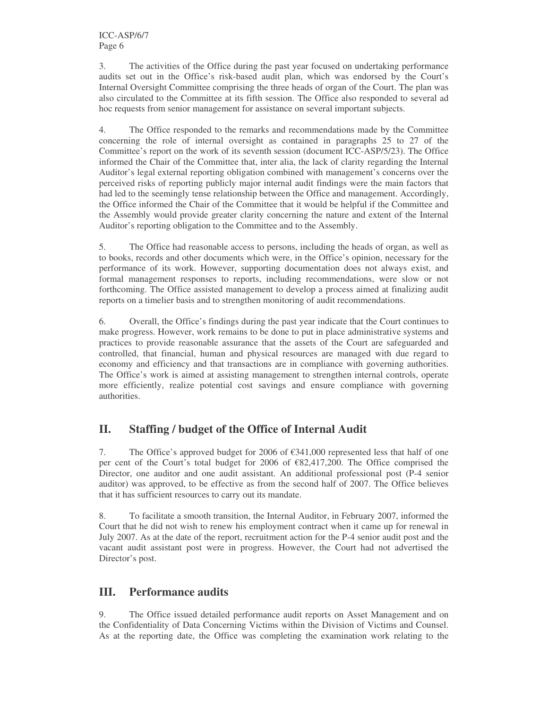3. The activities of the Office during the past year focused on undertaking performance audits set out in the Office's risk-based audit plan, which was endorsed by the Court's Internal Oversight Committee comprising the three heads of organ of the Court. The plan was also circulated to the Committee at its fifth session. The Office also responded to several ad hoc requests from senior management for assistance on several important subjects.

4. The Office responded to the remarks and recommendations made by the Committee concerning the role of internal oversight as contained in paragraphs 25 to 27 of the Committee's report on the work of its seventh session (document ICC-ASP/5/23). The Office informed the Chair of the Committee that, inter alia, the lack of clarity regarding the Internal Auditor's legal external reporting obligation combined with management's concerns over the perceived risks of reporting publicly major internal audit findings were the main factors that had led to the seemingly tense relationship between the Office and management. Accordingly, the Office informed the Chair of the Committee that it would be helpful if the Committee and the Assembly would provide greater clarity concerning the nature and extent of the Internal Auditor's reporting obligation to the Committee and to the Assembly.

5. The Office had reasonable access to persons, including the heads of organ, as well as to books, records and other documents which were, in the Office's opinion, necessary for the performance of its work. However, supporting documentation does not always exist, and formal management responses to reports, including recommendations, were slow or not forthcoming. The Office assisted management to develop a process aimed at finalizing audit reports on a timelier basis and to strengthen monitoring of audit recommendations.

6. Overall, the Office's findings during the past year indicate that the Court continues to make progress. However, work remains to be done to put in place administrative systems and practices to provide reasonable assurance that the assets of the Court are safeguarded and controlled, that financial, human and physical resources are managed with due regard to economy and efficiency and that transactions are in compliance with governing authorities. The Office's work is aimed at assisting management to strengthen internal controls, operate more efficiently, realize potential cost savings and ensure compliance with governing authorities.

# **II. Staffing / budget of the Office of Internal Audit**

7. The Office's approved budget for 2006 of  $\epsilon$ 341,000 represented less that half of one per cent of the Court's total budget for 2006 of €82,417,200. The Office comprised the Director, one auditor and one audit assistant. An additional professional post (P-4 senior auditor) was approved, to be effective as from the second half of 2007. The Office believes that it has sufficient resources to carry out its mandate.

8. To facilitate a smooth transition, the Internal Auditor, in February 2007, informed the Court that he did not wish to renew his employment contract when it came up for renewal in July 2007. As at the date of the report, recruitment action for the P-4 senior audit post and the vacant audit assistant post were in progress. However, the Court had not advertised the Director's post.

# **III. Performance audits**

9. The Office issued detailed performance audit reports on Asset Management and on the Confidentiality of Data Concerning Victims within the Division of Victims and Counsel. As at the reporting date, the Office was completing the examination work relating to the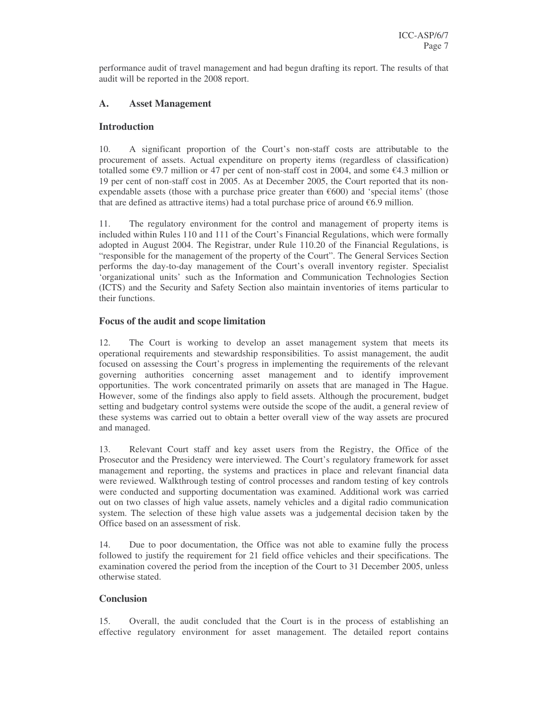performance audit of travel management and had begun drafting its report. The results of that audit will be reported in the 2008 report.

### **A. Asset Management**

#### **Introduction**

10. A significant proportion of the Court's non-staff costs are attributable to the procurement of assets. Actual expenditure on property items (regardless of classification) totalled some  $\epsilon$ 9.7 million or 47 per cent of non-staff cost in 2004, and some  $\epsilon$ 4.3 million or 19 per cent of non-staff cost in 2005. As at December 2005, the Court reported that its nonexpendable assets (those with a purchase price greater than  $\epsilon$ 600) and 'special items' (those that are defined as attractive items) had a total purchase price of around  $€6.9$  million.

11. The regulatory environment for the control and management of property items is included within Rules 110 and 111 of the Court's Financial Regulations, which were formally adopted in August 2004. The Registrar, under Rule 110.20 of the Financial Regulations, is "responsible for the management of the property of the Court". The General Services Section performs the day-to-day management of the Court's overall inventory register. Specialist 'organizational units' such as the Information and Communication Technologies Section (ICTS) and the Security and Safety Section also maintain inventories of items particular to their functions.

#### **Focus of the audit and scope limitation**

12. The Court is working to develop an asset management system that meets its operational requirements and stewardship responsibilities. To assist management, the audit focused on assessing the Court's progress in implementing the requirements of the relevant governing authorities concerning asset management and to identify improvement opportunities. The work concentrated primarily on assets that are managed in The Hague. However, some of the findings also apply to field assets. Although the procurement, budget setting and budgetary control systems were outside the scope of the audit, a general review of these systems was carried out to obtain a better overall view of the way assets are procured and managed.

13. Relevant Court staff and key asset users from the Registry, the Office of the Prosecutor and the Presidency were interviewed. The Court's regulatory framework for asset management and reporting, the systems and practices in place and relevant financial data were reviewed. Walkthrough testing of control processes and random testing of key controls were conducted and supporting documentation was examined. Additional work was carried out on two classes of high value assets, namely vehicles and a digital radio communication system. The selection of these high value assets was a judgemental decision taken by the Office based on an assessment of risk.

14. Due to poor documentation, the Office was not able to examine fully the process followed to justify the requirement for 21 field office vehicles and their specifications. The examination covered the period from the inception of the Court to 31 December 2005, unless otherwise stated.

#### **Conclusion**

15. Overall, the audit concluded that the Court is in the process of establishing an effective regulatory environment for asset management. The detailed report contains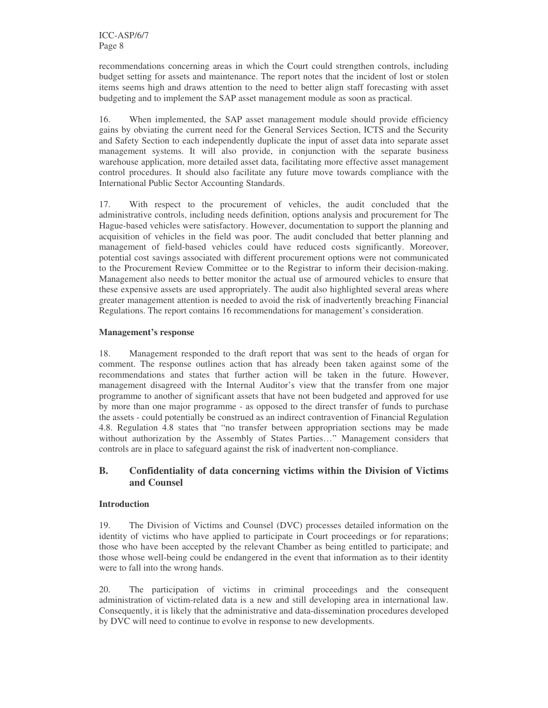recommendations concerning areas in which the Court could strengthen controls, including budget setting for assets and maintenance. The report notes that the incident of lost or stolen items seems high and draws attention to the need to better align staff forecasting with asset budgeting and to implement the SAP asset management module as soon as practical.

16. When implemented, the SAP asset management module should provide efficiency gains by obviating the current need for the General Services Section, ICTS and the Security and Safety Section to each independently duplicate the input of asset data into separate asset management systems. It will also provide, in conjunction with the separate business warehouse application, more detailed asset data, facilitating more effective asset management control procedures. It should also facilitate any future move towards compliance with the International Public Sector Accounting Standards.

17. With respect to the procurement of vehicles, the audit concluded that the administrative controls, including needs definition, options analysis and procurement for The Hague-based vehicles were satisfactory. However, documentation to support the planning and acquisition of vehicles in the field was poor. The audit concluded that better planning and management of field-based vehicles could have reduced costs significantly. Moreover, potential cost savings associated with different procurement options were not communicated to the Procurement Review Committee or to the Registrar to inform their decision-making. Management also needs to better monitor the actual use of armoured vehicles to ensure that these expensive assets are used appropriately. The audit also highlighted several areas where greater management attention is needed to avoid the risk of inadvertently breaching Financial Regulations. The report contains 16 recommendations for management's consideration.

#### **Management's response**

18. Management responded to the draft report that was sent to the heads of organ for comment. The response outlines action that has already been taken against some of the recommendations and states that further action will be taken in the future. However, management disagreed with the Internal Auditor's view that the transfer from one major programme to another of significant assets that have not been budgeted and approved for use by more than one major programme - as opposed to the direct transfer of funds to purchase the assets - could potentially be construed as an indirect contravention of Financial Regulation 4.8. Regulation 4.8 states that "no transfer between appropriation sections may be made without authorization by the Assembly of States Parties…" Management considers that controls are in place to safeguard against the risk of inadvertent non-compliance.

#### **B. Confidentiality of data concerning victims within the Division of Victims and Counsel**

#### **Introduction**

19. The Division of Victims and Counsel (DVC) processes detailed information on the identity of victims who have applied to participate in Court proceedings or for reparations; those who have been accepted by the relevant Chamber as being entitled to participate; and those whose well-being could be endangered in the event that information as to their identity were to fall into the wrong hands.

20. The participation of victims in criminal proceedings and the consequent administration of victim-related data is a new and still developing area in international law. Consequently, it is likely that the administrative and data-dissemination procedures developed by DVC will need to continue to evolve in response to new developments.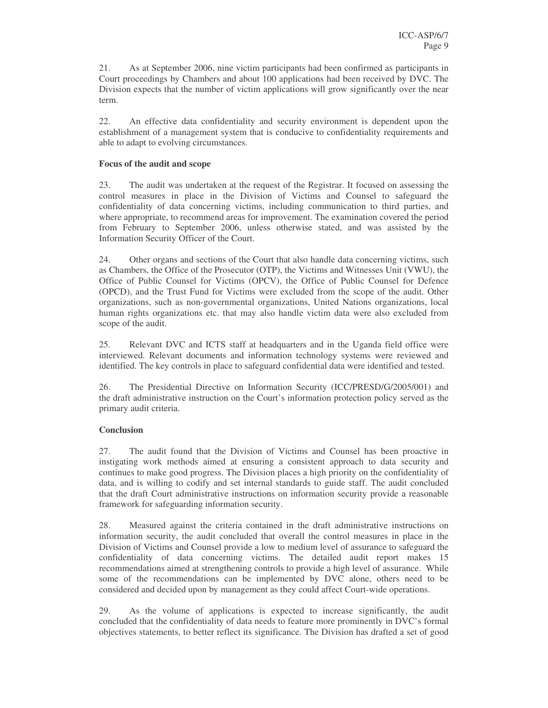21. As at September 2006, nine victim participants had been confirmed as participants in Court proceedings by Chambers and about 100 applications had been received by DVC. The Division expects that the number of victim applications will grow significantly over the near term.

22. An effective data confidentiality and security environment is dependent upon the establishment of a management system that is conducive to confidentiality requirements and able to adapt to evolving circumstances.

#### **Focus of the audit and scope**

23. The audit was undertaken at the request of the Registrar. It focused on assessing the control measures in place in the Division of Victims and Counsel to safeguard the confidentiality of data concerning victims, including communication to third parties, and where appropriate, to recommend areas for improvement. The examination covered the period from February to September 2006, unless otherwise stated, and was assisted by the Information Security Officer of the Court.

24. Other organs and sections of the Court that also handle data concerning victims, such as Chambers, the Office of the Prosecutor (OTP), the Victims and Witnesses Unit (VWU), the Office of Public Counsel for Victims (OPCV), the Office of Public Counsel for Defence (OPCD), and the Trust Fund for Victims were excluded from the scope of the audit. Other organizations, such as non-governmental organizations, United Nations organizations, local human rights organizations etc. that may also handle victim data were also excluded from scope of the audit.

25. Relevant DVC and ICTS staff at headquarters and in the Uganda field office were interviewed. Relevant documents and information technology systems were reviewed and identified. The key controls in place to safeguard confidential data were identified and tested.

26. The Presidential Directive on Information Security (ICC/PRESD/G/2005/001) and the draft administrative instruction on the Court's information protection policy served as the primary audit criteria.

#### **Conclusion**

27. The audit found that the Division of Victims and Counsel has been proactive in instigating work methods aimed at ensuring a consistent approach to data security and continues to make good progress. The Division places a high priority on the confidentiality of data, and is willing to codify and set internal standards to guide staff. The audit concluded that the draft Court administrative instructions on information security provide a reasonable framework for safeguarding information security.

28. Measured against the criteria contained in the draft administrative instructions on information security, the audit concluded that overall the control measures in place in the Division of Victims and Counsel provide a low to medium level of assurance to safeguard the confidentiality of data concerning victims. The detailed audit report makes 15 recommendations aimed at strengthening controls to provide a high level of assurance. While some of the recommendations can be implemented by DVC alone, others need to be considered and decided upon by management as they could affect Court-wide operations.

29. As the volume of applications is expected to increase significantly, the audit concluded that the confidentiality of data needs to feature more prominently in DVC's formal objectives statements, to better reflect its significance. The Division has drafted a set of good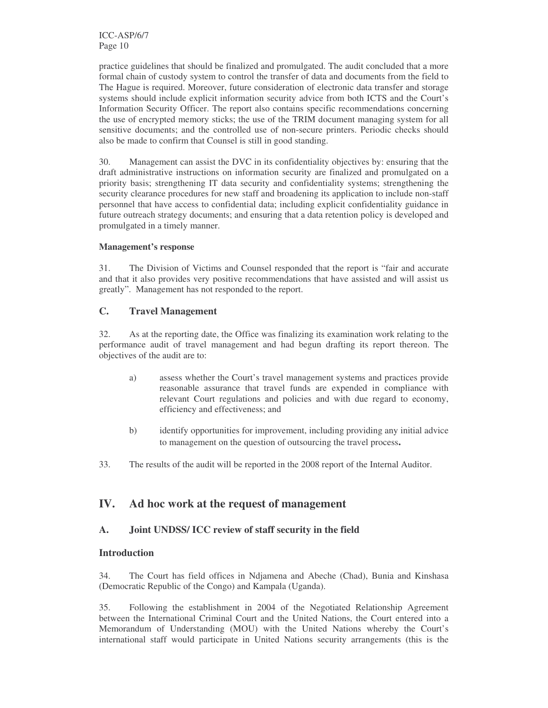practice guidelines that should be finalized and promulgated. The audit concluded that a more formal chain of custody system to control the transfer of data and documents from the field to The Hague is required. Moreover, future consideration of electronic data transfer and storage systems should include explicit information security advice from both ICTS and the Court's Information Security Officer. The report also contains specific recommendations concerning the use of encrypted memory sticks; the use of the TRIM document managing system for all sensitive documents; and the controlled use of non-secure printers. Periodic checks should also be made to confirm that Counsel is still in good standing.

30. Management can assist the DVC in its confidentiality objectives by: ensuring that the draft administrative instructions on information security are finalized and promulgated on a priority basis; strengthening IT data security and confidentiality systems; strengthening the security clearance procedures for new staff and broadening its application to include non-staff personnel that have access to confidential data; including explicit confidentiality guidance in future outreach strategy documents; and ensuring that a data retention policy is developed and promulgated in a timely manner.

#### **Management's response**

31. The Division of Victims and Counsel responded that the report is "fair and accurate and that it also provides very positive recommendations that have assisted and will assist us greatly". Management has not responded to the report.

### **C. Travel Management**

32. As at the reporting date, the Office was finalizing its examination work relating to the performance audit of travel management and had begun drafting its report thereon. The objectives of the audit are to:

- a) assess whether the Court's travel management systems and practices provide reasonable assurance that travel funds are expended in compliance with relevant Court regulations and policies and with due regard to economy, efficiency and effectiveness; and
- b) identify opportunities for improvement, including providing any initial advice to management on the question of outsourcing the travel process**.**
- 33. The results of the audit will be reported in the 2008 report of the Internal Auditor.

# **IV. Ad hoc work at the request of management**

#### **A. Joint UNDSS/ ICC review of staff security in the field**

#### **Introduction**

34. The Court has field offices in Ndjamena and Abeche (Chad), Bunia and Kinshasa (Democratic Republic of the Congo) and Kampala (Uganda).

35. Following the establishment in 2004 of the Negotiated Relationship Agreement between the International Criminal Court and the United Nations, the Court entered into a Memorandum of Understanding (MOU) with the United Nations whereby the Court's international staff would participate in United Nations security arrangements (this is the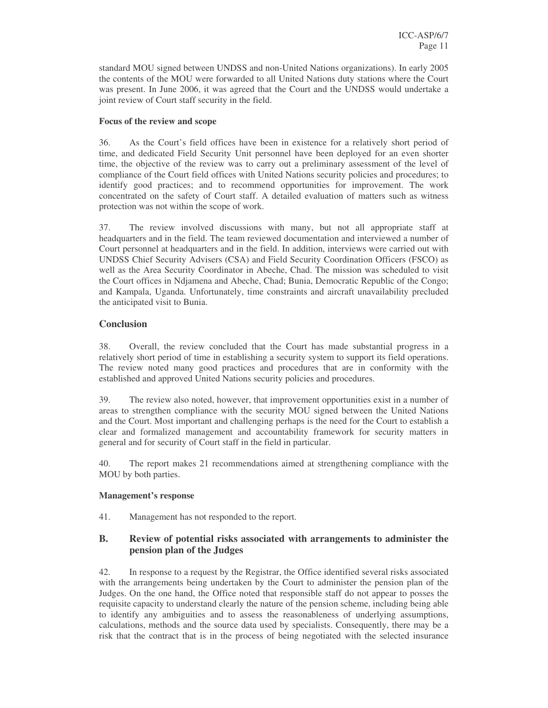standard MOU signed between UNDSS and non-United Nations organizations). In early 2005 the contents of the MOU were forwarded to all United Nations duty stations where the Court was present. In June 2006, it was agreed that the Court and the UNDSS would undertake a joint review of Court staff security in the field.

#### **Focus of the review and scope**

36. As the Court's field offices have been in existence for a relatively short period of time, and dedicated Field Security Unit personnel have been deployed for an even shorter time, the objective of the review was to carry out a preliminary assessment of the level of compliance of the Court field offices with United Nations security policies and procedures; to identify good practices; and to recommend opportunities for improvement. The work concentrated on the safety of Court staff. A detailed evaluation of matters such as witness protection was not within the scope of work.

37. The review involved discussions with many, but not all appropriate staff at headquarters and in the field. The team reviewed documentation and interviewed a number of Court personnel at headquarters and in the field. In addition, interviews were carried out with UNDSS Chief Security Advisers (CSA) and Field Security Coordination Officers (FSCO) as well as the Area Security Coordinator in Abeche, Chad. The mission was scheduled to visit the Court offices in Ndjamena and Abeche, Chad; Bunia, Democratic Republic of the Congo; and Kampala, Uganda. Unfortunately, time constraints and aircraft unavailability precluded the anticipated visit to Bunia.

#### **Conclusion**

38. Overall, the review concluded that the Court has made substantial progress in a relatively short period of time in establishing a security system to support its field operations. The review noted many good practices and procedures that are in conformity with the established and approved United Nations security policies and procedures.

39. The review also noted, however, that improvement opportunities exist in a number of areas to strengthen compliance with the security MOU signed between the United Nations and the Court. Most important and challenging perhaps is the need for the Court to establish a clear and formalized management and accountability framework for security matters in general and for security of Court staff in the field in particular.

40. The report makes 21 recommendations aimed at strengthening compliance with the MOU by both parties.

#### **Management's response**

41. Management has not responded to the report.

### **B. Review of potential risks associated with arrangements to administer the pension plan of the Judges**

42. In response to a request by the Registrar, the Office identified several risks associated with the arrangements being undertaken by the Court to administer the pension plan of the Judges. On the one hand, the Office noted that responsible staff do not appear to posses the requisite capacity to understand clearly the nature of the pension scheme, including being able to identify any ambiguities and to assess the reasonableness of underlying assumptions, calculations, methods and the source data used by specialists. Consequently, there may be a risk that the contract that is in the process of being negotiated with the selected insurance